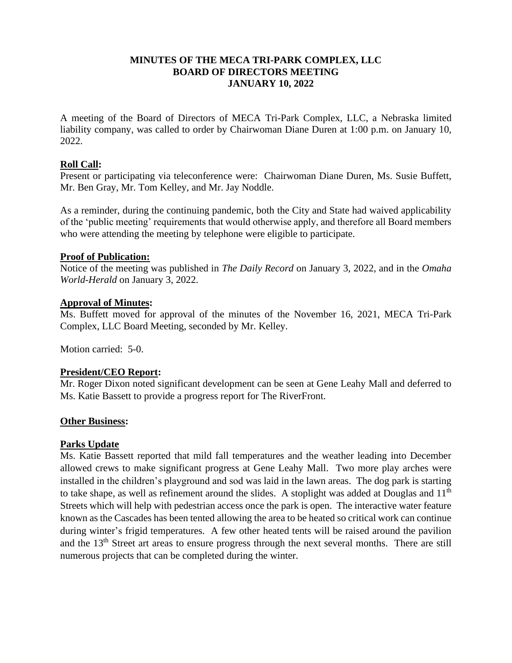# **MINUTES OF THE MECA TRI-PARK COMPLEX, LLC BOARD OF DIRECTORS MEETING JANUARY 10, 2022**

A meeting of the Board of Directors of MECA Tri-Park Complex, LLC, a Nebraska limited liability company, was called to order by Chairwoman Diane Duren at 1:00 p.m. on January 10, 2022.

# **Roll Call:**

Present or participating via teleconference were: Chairwoman Diane Duren, Ms. Susie Buffett, Mr. Ben Gray, Mr. Tom Kelley, and Mr. Jay Noddle.

As a reminder, during the continuing pandemic, both the City and State had waived applicability of the 'public meeting' requirements that would otherwise apply, and therefore all Board members who were attending the meeting by telephone were eligible to participate.

## **Proof of Publication:**

Notice of the meeting was published in *The Daily Record* on January 3, 2022, and in the *Omaha World-Herald* on January 3, 2022.

## **Approval of Minutes:**

Ms. Buffett moved for approval of the minutes of the November 16, 2021, MECA Tri-Park Complex, LLC Board Meeting, seconded by Mr. Kelley.

Motion carried: 5-0.

## **President/CEO Report:**

Mr. Roger Dixon noted significant development can be seen at Gene Leahy Mall and deferred to Ms. Katie Bassett to provide a progress report for The RiverFront.

## **Other Business:**

# **Parks Update**

Ms. Katie Bassett reported that mild fall temperatures and the weather leading into December allowed crews to make significant progress at Gene Leahy Mall. Two more play arches were installed in the children's playground and sod was laid in the lawn areas. The dog park is starting to take shape, as well as refinement around the slides. A stoplight was added at Douglas and  $11<sup>th</sup>$ Streets which will help with pedestrian access once the park is open. The interactive water feature known as the Cascades has been tented allowing the area to be heated so critical work can continue during winter's frigid temperatures. A few other heated tents will be raised around the pavilion and the 13<sup>th</sup> Street art areas to ensure progress through the next several months. There are still numerous projects that can be completed during the winter.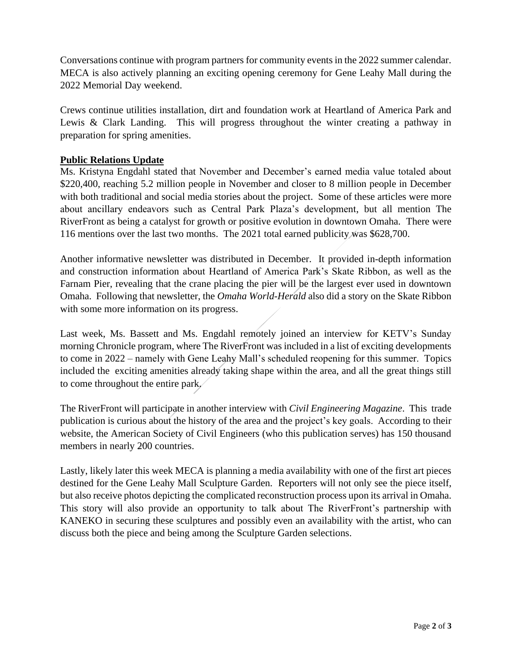Conversations continue with program partners for community events in the 2022 summer calendar. MECA is also actively planning an exciting opening ceremony for Gene Leahy Mall during the 2022 Memorial Day weekend.

Crews continue utilities installation, dirt and foundation work at Heartland of America Park and Lewis & Clark Landing. This will progress throughout the winter creating a pathway in preparation for spring amenities.

# **Public Relations Update**

Ms. Kristyna Engdahl stated that November and December's earned media value totaled about \$220,400, reaching 5.2 million people in November and closer to 8 million people in December with both traditional and social media stories about the project. Some of these articles were more about ancillary endeavors such as Central Park Plaza's development, but all mention The RiverFront as being a catalyst for growth or positive evolution in downtown Omaha. There were 116 mentions over the last two months. The 2021 total earned publicity was \$628,700.

Another informative newsletter was distributed in December. It provided in-depth information and construction information about Heartland of America Park's Skate Ribbon, as well as the Farnam Pier, revealing that the crane placing the pier will be the largest ever used in downtown Omaha. Following that newsletter, the *Omaha World-Herald* also did a story on the Skate Ribbon with some more information on its progress.

Last week, Ms. Bassett and Ms. Engdahl remotely joined an interview for KETV's Sunday morning Chronicle program, where The RiverFront was included in a list of exciting developments to come in 2022 – namely with Gene Leahy Mall's scheduled reopening for this summer. Topics included the exciting amenities already taking shape within the area, and all the great things still to come throughout the entire park.

The RiverFront will participate in another interview with *Civil Engineering Magazine*. This trade publication is curious about the history of the area and the project's key goals. According to their website, the American Society of Civil Engineers (who this publication serves) has 150 thousand members in nearly 200 countries.

Lastly, likely later this week MECA is planning a media availability with one of the first art pieces destined for the Gene Leahy Mall Sculpture Garden. Reporters will not only see the piece itself, but also receive photos depicting the complicated reconstruction process upon its arrival in Omaha. This story will also provide an opportunity to talk about The RiverFront's partnership with KANEKO in securing these sculptures and possibly even an availability with the artist, who can discuss both the piece and being among the Sculpture Garden selections.